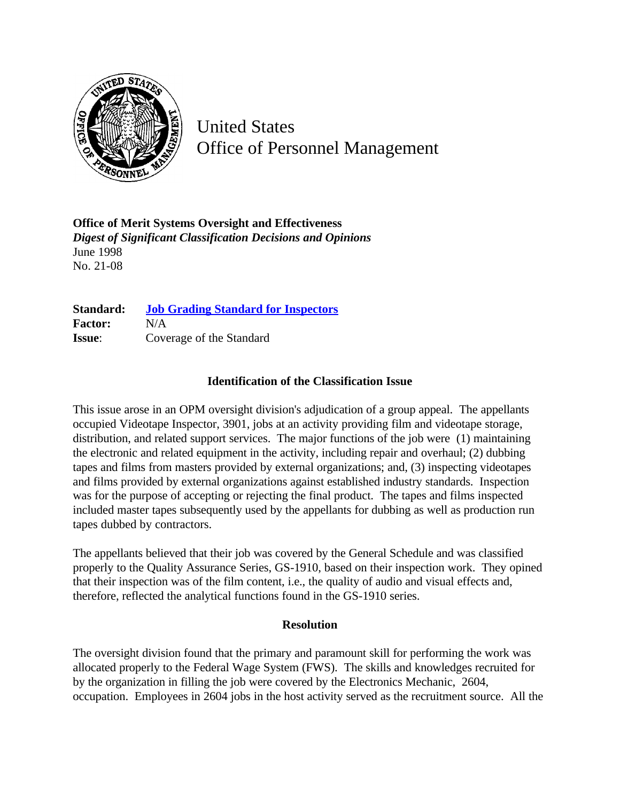

United States Office of Personnel Management

**Office of Merit Systems Oversight and Effectiveness** *Digest of Significant Classification Decisions and Opinions* June 1998 No. 21-08

| Standard:      | <b>Job Grading Standard for Inspectors</b> |
|----------------|--------------------------------------------|
| <b>Factor:</b> | N/A                                        |
| <b>Issue:</b>  | Coverage of the Standard                   |

## **Identification of the Classification Issue**

This issue arose in an OPM oversight division's adjudication of a group appeal. The appellants occupied Videotape Inspector, 3901, jobs at an activity providing film and videotape storage, distribution, and related support services. The major functions of the job were (1) maintaining the electronic and related equipment in the activity, including repair and overhaul; (2) dubbing tapes and films from masters provided by external organizations; and, (3) inspecting videotapes and films provided by external organizations against established industry standards. Inspection was for the purpose of accepting or rejecting the final product. The tapes and films inspected included master tapes subsequently used by the appellants for dubbing as well as production run tapes dubbed by contractors.

The appellants believed that their job was covered by the General Schedule and was classified properly to the Quality Assurance Series, GS-1910, based on their inspection work. They opined that their inspection was of the film content, i.e., the quality of audio and visual effects and, therefore, reflected the analytical functions found in the GS-1910 series.

## **Resolution**

The oversight division found that the primary and paramount skill for performing the work was allocated properly to the Federal Wage System (FWS). The skills and knowledges recruited for by the organization in filling the job were covered by the Electronics Mechanic, 2604, occupation. Employees in 2604 jobs in the host activity served as the recruitment source. All the